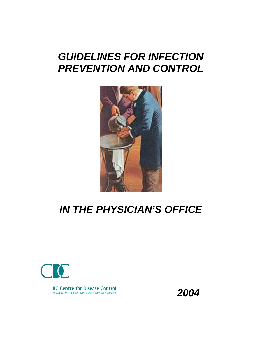# *GUIDELINES FOR INFECTION*  **PREVENTION AND CONTROL**



# *IN THE PHYSICIAN'S OFFICE*



*2004*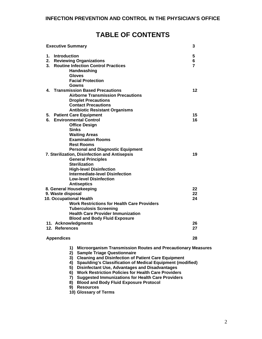# **TABLE OF CONTENTS**

| <b>Executive Summary</b>                                                  | 3  |
|---------------------------------------------------------------------------|----|
| 1.<br>Introduction                                                        | 5  |
| <b>Reviewing Organizations</b><br>2.                                      | 6  |
| 3. Routine Infection Control Practices                                    | 7  |
| Handwashing                                                               |    |
| <b>Gloves</b>                                                             |    |
| <b>Facial Protection</b>                                                  |    |
| Gowns                                                                     |    |
| 4. Transmission Based Precautions                                         | 12 |
| <b>Airborne Transmission Precautions</b>                                  |    |
| <b>Droplet Precautions</b>                                                |    |
| <b>Contact Precautions</b>                                                |    |
| <b>Antibiotic Resistant Organisms</b>                                     |    |
| 5. Patient Care Equipment                                                 | 15 |
| <b>Environmental Control</b><br>6.                                        | 16 |
| <b>Office Design</b>                                                      |    |
| <b>Sinks</b>                                                              |    |
| <b>Waiting Areas</b>                                                      |    |
| <b>Examination Rooms</b>                                                  |    |
| <b>Rest Rooms</b>                                                         |    |
| <b>Personal and Diagnostic Equipment</b>                                  |    |
| 7. Sterilization, Disinfection and Antisepsis                             | 19 |
| <b>General Principles</b>                                                 |    |
| <b>Sterilization</b>                                                      |    |
| <b>High-level Disinfection</b>                                            |    |
| <b>Intermediate-level Disinfection</b>                                    |    |
| <b>Low-level Disinfection</b>                                             |    |
| <b>Antiseptics</b>                                                        |    |
| 8. General Housekeeping                                                   | 22 |
| 9. Waste disposal                                                         | 22 |
| 10. Occupational Health                                                   | 24 |
| <b>Work Restrictions for Health Care Providers</b>                        |    |
| <b>Tuberculosis Screening</b>                                             |    |
| <b>Health Care Provider Immunization</b>                                  |    |
| <b>Blood and Body Fluid Exposure</b>                                      |    |
| 11. Acknowledgments                                                       | 26 |
| 12. References                                                            | 27 |
| <b>Appendices</b>                                                         | 28 |
|                                                                           |    |
| <b>Microorganism Transmission Routes and Precautionary Measures</b><br>1) |    |
| <b>Sample Triage Questionnaire</b><br>2)                                  |    |

- **3) Cleaning and Disinfection of Patient Care Equipment**
- **4) Spaulding's Classification of Medical Equipment (modified)**
- **5) Disinfectant Use, Advantages and Disadvantages**
- **6) Work Restriction Policies for Health Care Providers**
- **7) Suggested Immunizations for Health Care Providers**
- **8) Blood and Body Fluid Exposure Protocol**
- **9) Resources**
- **10) Glossary of Terms**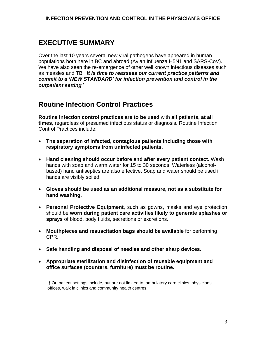# **EXECUTIVE SUMMARY**

Over the last 10 years several new viral pathogens have appeared in human populations both here in BC and abroad (Avian Influenza H5N1 and SARS-CoV). We have also seen the re-emergence of other well known infectious diseases such as measles and TB. *It is time to reassess our current practice patterns and commit to a 'NEW STANDARD' for infection prevention and control in the outpatient setting*† *.* 

# **Routine Infection Control Practices**

**Routine infection control practices are to be used** with **all patients, at all times**, regardless of presumed infectious status or diagnosis. Routine Infection Control Practices include:

- **The separation of infected, contagious patients including those with respiratory symptoms from uninfected patients.**
- **Hand cleaning should occur before and after every patient contact.** Wash hands with soap and warm water for 15 to 30 seconds. Waterless (alcoholbased) hand antiseptics are also effective. Soap and water should be used if hands are visibly soiled.
- **Gloves should be used as an additional measure, not as a substitute for hand washing.**
- **Personal Protective Equipment**, such as gowns, masks and eye protection should be **worn during patient care activities likely to generate splashes or sprays** of blood, body fluids, secretions or excretions.
- **Mouthpieces and resuscitation bags should be available** for performing CPR.
- **Safe handling and disposal of needles and other sharp devices.**
- **Appropriate sterilization and disinfection of reusable equipment and office surfaces (counters, furniture) must be routine.**

†Outpatient settings include, but are not limited to, ambulatory care clinics, physicians' offices, walk in clinics and community health centres.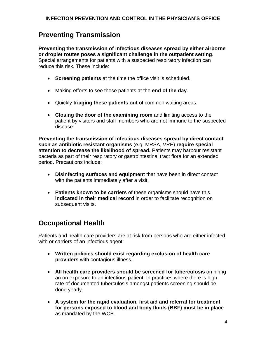# **Preventing Transmission**

**Preventing the transmission of infectious diseases spread by either airborne or droplet routes poses a significant challenge in the outpatient setting**. Special arrangements for patients with a suspected respiratory infection can reduce this risk. These include:

- **Screening patients** at the time the office visit is scheduled.
- Making efforts to see these patients at the **end of the day**.
- Quickly **triaging these patients out** of common waiting areas.
- **Closing the door of the examining room** and limiting access to the patient by visitors and staff members who are not immune to the suspected disease.

**Preventing the transmission of infectious diseases spread by direct contact such as antibiotic resistant organisms** (e.g. MRSA, VRE) **require special attention to decrease the likelihood of spread.** Patients may harbour resistant bacteria as part of their respiratory or gastrointestinal tract flora for an extended period. Precautions include:

- **Disinfecting surfaces and equipment** that have been in direct contact with the patients immediately after a visit.
- **Patients known to be carriers** of these organisms should have this **indicated in their medical record** in order to facilitate recognition on subsequent visits.

# **Occupational Health**

Patients and health care providers are at risk from persons who are either infected with or carriers of an infectious agent:

- **Written policies should exist regarding exclusion of health care providers** with contagious illness.
- **All health care providers should be screened for tuberculosis** on hiring an on exposure to an infectious patient. In practices where there is high rate of documented tuberculosis amongst patients screening should be done yearly.
- **A system for the rapid evaluation, first aid and referral for treatment for persons exposed to blood and body fluids (BBF) must be in place** as mandated by the WCB.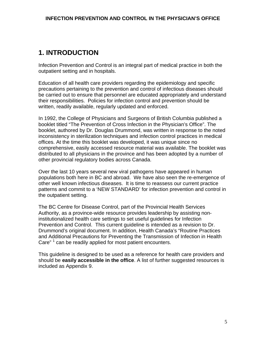# **1. INTRODUCTION**

Infection Prevention and Control is an integral part of medical practice in both the outpatient setting and in hospitals.

Education of all health care providers regarding the epidemiology and specific precautions pertaining to the prevention and control of infectious diseases should be carried out to ensure that personnel are educated appropriately and understand their responsibilities. Policies for infection control and prevention should be written, readily available, regularly updated and enforced.

In 1992, the College of Physicians and Surgeons of British Columbia published a booklet titled "The Prevention of Cross Infection in the Physician's Office". The booklet, authored by Dr. Douglas Drummond, was written in response to the noted inconsistency in sterilization techniques and infection control practices in medical offices. At the time this booklet was developed, it was unique since no comprehensive, easily accessed resource material was available. The booklet was distributed to all physicians in the province and has been adopted by a number of other provincial regulatory bodies across Canada.

Over the last 10 years several new viral pathogens have appeared in human populations both here in BC and abroad. We have also seen the re-emergence of other well known infectious diseases. It is time to reassess our current practice patterns and commit to a 'NEW STANDARD' for infection prevention and control in the outpatient setting.

The BC Centre for Disease Control, part of the Provincial Health Services Authority, as a province-wide resource provides leadership by assisting noninstitutionalized health care settings to set useful guidelines for Infection Prevention and Control. This current guideline is intended as a revision to Dr. Drummond's original document. In addition, Health Canada's "Routine Practices and Additional Precautions for Preventing the Transmission of Infection in Health Care"<sup>1</sup> can be readily applied for most patient encounters.

This guideline is designed to be used as a reference for health care providers and should be **easily accessible in the office**. A list of further suggested resources is included as Appendix 9.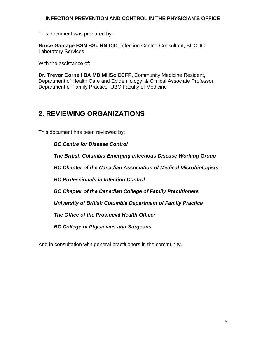This document was prepared by:

**Bruce Gamage BSN BSc RN CIC**, Infection Control Consultant, BCCDC Laboratory Services

With the assistance of:

**Dr. Trevor Corneil BA MD MHSc CCFP,** Community Medicine Resident, Department of Health Care and Epidemiology, & Clinical Associate Professor, Department of Family Practice, UBC Faculty of Medicine

# **2. REVIEWING ORGANIZATIONS**

This document has been reviewed by:

*BC Centre for Disease Control* 

*The British Columbia Emerging Infectious Disease Working Group* 

*BC Chapter of the Canadian Association of Medical Microbiologists* 

*BC Professionals in Infection Control* 

*BC Chapter of the Canadian College of Family Practitioners* 

*University of British Columbia Department of Family Practice* 

*The Office of the Provincial Health Officer* 

*BC College of Physicians and Surgeons* 

And in consultation with general practitioners in the community.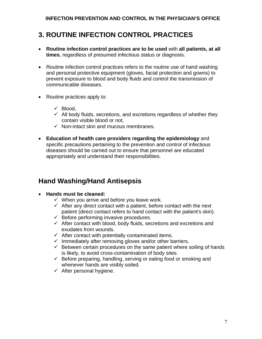# **3. ROUTINE INFECTION CONTROL PRACTICES**

- **Routine infection control practices are to be used** with **all patients, at all times**, regardless of presumed infectious status or diagnosis.
- Routine infection control practices refers to the routine use of hand washing and personal protective equipment (gloves, facial protection and gowns) to prevent exposure to blood and body fluids and control the transmission of communicable diseases.
- Routine practices apply to:
	- $\checkmark$  Blood,
	- $\checkmark$  All body fluids, secretions, and excretions regardless of whether they contain visible blood or not,
	- $\checkmark$  Non-intact skin and mucous membranes.
- **Education of health care providers regarding the epidemiology** and specific precautions pertaining to the prevention and control of infectious diseases should be carried out to ensure that personnel are educated appropriately and understand their responsibilities.

### **Hand Washing/Hand Antisepsis**

- **Hands must be cleaned:** 
	- $\checkmark$  When you arrive and before you leave work.
	- $\checkmark$  After any direct contact with a patient, before contact with the next patient (direct contact refers to hand contact with the patient's skin).
	- $\checkmark$  Before performing invasive procedures.
	- $\checkmark$  After contact with blood, body fluids, secretions and excretions and exudates from wounds.
	- $\checkmark$  After contact with potentially contaminated items.
	- $\checkmark$  Immediately after removing gloves and/or other barriers.
	- $\checkmark$  Between certain procedures on the same patient where soiling of hands is likely, to avoid cross-contamination of body sites.
	- $\checkmark$  Before preparing, handling, serving or eating food or smoking and whenever hands are visibly soiled.
	- $\checkmark$  After personal hygiene.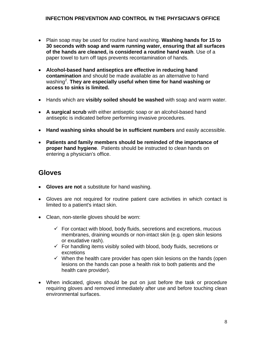- Plain soap may be used for routine hand washing. **Washing hands for 15 to 30 seconds with soap and warm running water, ensuring that all surfaces of the hands are cleaned, is considered a routine hand wash**. Use of a paper towel to turn off taps prevents recontamination of hands.
- **Alcohol-based hand antiseptics are effective in reducing hand contamination** and should be made available as an alternative to hand washing<sup>2</sup>. **They are especially useful when time for hand washing or access to sinks is limited.**
- Hands which are **visibly soiled should be washed** with soap and warm water.
- **A surgical scrub** with either antiseptic soap or an alcohol-based hand antiseptic is indicated before performing invasive procedures.
- **Hand washing sinks should be in sufficient numbers** and easily accessible.
- **Patients and family members should be reminded of the importance of proper hand hygiene**. Patients should be instructed to clean hands on entering a physician's office.

### **Gloves**

- **Gloves are not** a substitute for hand washing.
- Gloves are not required for routine patient care activities in which contact is limited to a patient's intact skin.
- Clean, non-sterile gloves should be worn:
	- $\checkmark$  For contact with blood, body fluids, secretions and excretions, mucous membranes, draining wounds or non-intact skin (e.g. open skin lesions or exudative rash).
	- $\checkmark$  For handling items visibly soiled with blood, body fluids, secretions or excretions
	- $\checkmark$  When the health care provider has open skin lesions on the hands (open lesions on the hands can pose a health risk to both patients and the health care provider).
- When indicated, gloves should be put on just before the task or procedure requiring gloves and removed immediately after use and before touching clean environmental surfaces.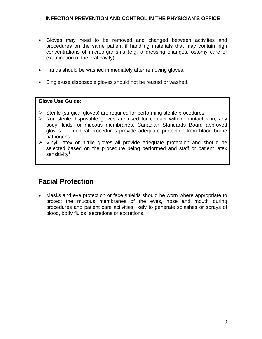- Gloves may need to be removed and changed between activities and procedures on the same patient if handling materials that may contain high concentrations of microorganisms (e.g. a dressing changes, ostomy care or examination of the oral cavity).
- Hands should be washed immediately after removing gloves.
- Single-use disposable gloves should not be reused or washed.

#### **Glove Use Guide:**

- $\triangleright$  Sterile (surgical gloves) are required for performing sterile procedures.
- $\triangleright$  Non-sterile disposable gloves are used for contact with non-intact skin, any body fluids, or mucous membranes. Canadian Standards Board approved gloves for medical procedures provide adequate protection from blood borne pathogens.
- $\triangleright$  Vinyl, latex or nitrile gloves all provide adequate protection and should be selected based on the procedure being performed and staff or patient latex sensitivity<sup>3</sup>.

### **Facial Protection**

• Masks and eye protection or face shields should be worn where appropriate to protect the mucous membranes of the eyes, nose and mouth during procedures and patient care activities likely to generate splashes or sprays of blood, body fluids, secretions or excretions.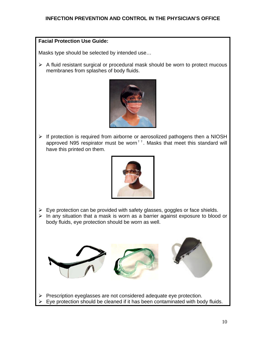#### **Facial Protection Use Guide:**

Masks type should be selected by intended use…

 $\triangleright$  A fluid resistant surgical or procedural mask should be worn to protect mucous membranes from splashes of body fluids.



¾ If protection is required from airborne or aerosolized pathogens then a NIOSH approved N95 respirator must be worn<sup>††</sup>. Masks that meet this standard will have this printed on them.



- $\triangleright$  Eye protection can be provided with safety glasses, goggles or face shields.
- $\triangleright$  In any situation that a mask is worn as a barrier against exposure to blood or body fluids, eye protection should be worn as well.



Eye protection should be cleaned if it has been contaminated with body fluids.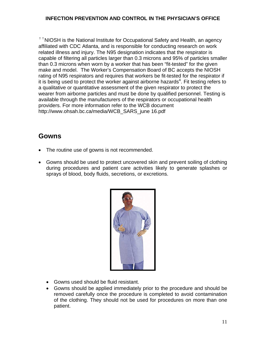$\dagger$   $\dagger$  NIOSH is the National Institute for Occupational Safety and Health, an agency affiliated with CDC Atlanta, and is responsible for conducting research on work related illness and injury. The N95 designation indicates that the respirator is capable of filtering all particles larger than 0.3 microns and 95% of particles smaller than 0.3 microns when worn by a worker that has been "fit-tested" for the given make and model. The Worker's Compensation Board of BC accepts the NIOSH rating of N95 respirators and requires that workers be fit-tested for the respirator if it is being used to protect the worker against airborne hazards<sup>4</sup>. Fit testing refers to a qualitative or quantitative assessment of the given respirator to protect the wearer from airborne particles and must be done by qualified personnel. Testing is available through the manufacturers of the respirators or occupational health providers. For more information refer to the WCB document [http://www.ohsah.bc.ca/media/WCB\\_SARS\\_june 16.pdf](http://www.ohsah.bc.ca/media/WCB_SARS_june 16.pdf) 

### **Gowns**

- The routine use of gowns is not recommended.
- Gowns should be used to protect uncovered skin and prevent soiling of clothing during procedures and patient care activities likely to generate splashes or sprays of blood, body fluids, secretions, or excretions.



- Gowns used should be fluid resistant.
- Gowns should be applied immediately prior to the procedure and should be removed carefully once the procedure is completed to avoid contamination of the clothing. They should not be used for procedures on more than one patient.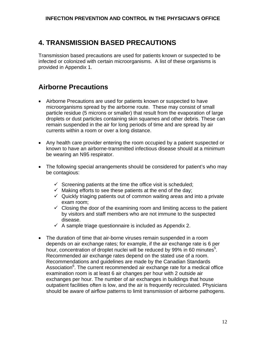# **4. TRANSMISSION BASED PRECAUTIONS**

Transmission based precautions are used for patients known or suspected to be infected or colonized with certain microorganisms. A list of these organisms is provided in Appendix 1.

# **Airborne Precautions**

- Airborne Precautions are used for patients known or suspected to have microorganisms spread by the airborne route. These may consist of small particle residue (5 microns or smaller) that result from the evaporation of large droplets or dust particles containing skin squames and other debris. These can remain suspended in the air for long periods of time and are spread by air currents within a room or over a long distance.
- Any health care provider entering the room occupied by a patient suspected or known to have an airborne-transmitted infectious disease should at a minimum be wearing an N95 respirator.
- The following special arrangements should be considered for patient's who may be contagious:
	- $\checkmark$  Screening patients at the time the office visit is scheduled;
	- $\checkmark$  Making efforts to see these patients at the end of the day;
	- $\checkmark$  Quickly triaging patients out of common waiting areas and into a private exam room;
	- $\checkmark$  Closing the door of the examining room and limiting access to the patient by visitors and staff members who are not immune to the suspected disease.
	- $\checkmark$  A sample triage questionnaire is included as Appendix 2.
- The duration of time that air-borne viruses remain suspended in a room depends on air exchange rates; for example, if the air exchange rate is 6 per hour, concentration of droplet nuclei will be reduced by 99% in 60 minutes<sup>5</sup>. Recommended air exchange rates depend on the stated use of a room. Recommendations and guidelines are made by the Canadian Standards Association<sup>6</sup>. The current recommended air exchange rate for a medical office examination room is at least 6 air changes per hour with 2 outside air exchanges per hour. The number of air exchanges in buildings that house outpatient facilities often is low, and the air is frequently recirculated. Physicians should be aware of airflow patterns to limit transmission of airborne pathogens.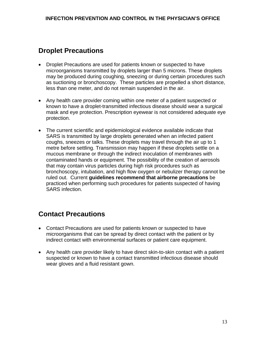# **Droplet Precautions**

- Droplet Precautions are used for patients known or suspected to have microorganisms transmitted by droplets larger than 5 microns. These droplets may be produced during coughing, sneezing or during certain procedures such as suctioning or bronchoscopy. These particles are propelled a short distance, less than one meter, and do not remain suspended in the air.
- Any health care provider coming within one meter of a patient suspected or known to have a droplet-transmitted infectious disease should wear a surgical mask and eye protection. Prescription eyewear is not considered adequate eye protection.
- The current scientific and epidemiological evidence available indicate that SARS is transmitted by large droplets generated when an infected patient coughs, sneezes or talks. These droplets may travel through the air up to 1 metre before settling. Transmission may happen if these droplets settle on a mucous membrane or through the indirect inoculation of membranes with contaminated hands or equipment. The possibility of the creation of aerosols that may contain virus particles during high risk procedures such as bronchoscopy, intubation, and high flow oxygen or nebulizer therapy cannot be ruled out. Current **guidelines recommend that airborne precautions** be practiced when performing such procedures for patients suspected of having SARS infection.

# **Contact Precautions**

- Contact Precautions are used for patients known or suspected to have microorganisms that can be spread by direct contact with the patient or by indirect contact with environmental surfaces or patient care equipment.
- Any health care provider likely to have direct skin-to-skin contact with a patient suspected or known to have a contact transmitted infectious disease should wear gloves and a fluid resistant gown.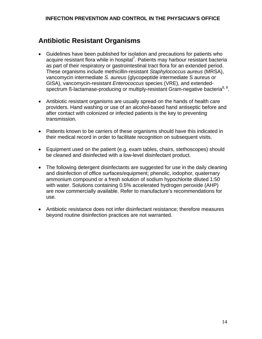# **Antibiotic Resistant Organisms**

- Guidelines have been published for isolation and precautions for patients who acquire resistant flora while in hospital<sup>7</sup>. Patients may harbour resistant bacteria as part of their respiratory or gastrointestinal tract flora for an extended period. These organisms include methicillin-resistant *Staphylococcus aureus* (MRSA), vancomycin intermediate *S. aureus* (glycopeptide intermediate S aureus or GISA), vancomycin-resistant *Enterococcus* species (VRE), and extendedspectrum ß-lactamase-producing or multiply-resistant Gram-negative bacteria<sup>8, 9</sup>.
- Antibiotic resistant organisms are usually spread on the hands of health care providers. Hand washing or use of an alcohol-based hand antiseptic before and after contact with colonized or infected patients is the key to preventing transmission.
- Patients known to be carriers of these organisms should have this indicated in their medical record in order to facilitate recognition on subsequent visits.
- Equipment used on the patient (e.g. exam tables, chairs, stethoscopes) should be cleaned and disinfected with a low-level disinfectant product.
- The following detergent disinfectants are suggested for use in the daily cleaning and disinfection of office surfaces/equipment; phenolic, iodophor, quaternary ammonium compound or a fresh solution of sodium hypochlorite diluted 1:50 with water. Solutions containing 0.5% accelerated hydrogen peroxide (AHP) are now commercially available. Refer to manufacture's recommendations for use.
- Antibiotic resistance does not infer disinfectant resistance; therefore measures beyond routine disinfection practices are not warranted.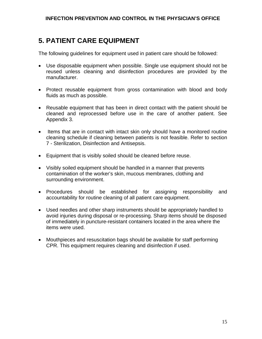# **5. PATIENT CARE EQUIPMENT**

The following guidelines for equipment used in patient care should be followed:

- Use disposable equipment when possible. Single use equipment should not be reused unless cleaning and disinfection procedures are provided by the manufacturer.
- Protect reusable equipment from gross contamination with blood and body fluids as much as possible.
- Reusable equipment that has been in direct contact with the patient should be cleaned and reprocessed before use in the care of another patient. See Appendix 3.
- Items that are in contact with intact skin only should have a monitored routine cleaning schedule if cleaning between patients is not feasible. Refer to section 7 - Sterilization, Disinfection and Antisepsis.
- Equipment that is visibly soiled should be cleaned before reuse.
- Visibly soiled equipment should be handled in a manner that prevents contamination of the worker's skin, mucous membranes, clothing and surrounding environment.
- Procedures should be established for assigning responsibility and accountability for routine cleaning of all patient care equipment.
- Used needles and other sharp instruments should be appropriately handled to avoid injuries during disposal or re-processing. Sharp items should be disposed of immediately in puncture-resistant containers located in the area where the items were used.
- Mouthpieces and resuscitation bags should be available for staff performing CPR. This equipment requires cleaning and disinfection if used.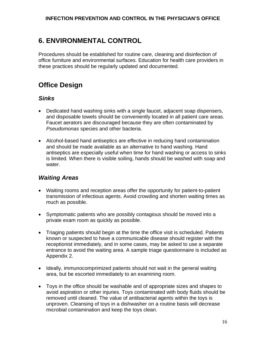# **6. ENVIRONMENTAL CONTROL**

Procedures should be established for routine care, cleaning and disinfection of office furniture and environmental surfaces. Education for health care providers in these practices should be regularly updated and documented.

# **Office Design**

### *Sinks*

- Dedicated hand washing sinks with a single faucet, adjacent soap dispensers, and disposable towels should be conveniently located in all patient care areas. Faucet aerators are discouraged because they are often contaminated by *Pseudomonas* species and other bacteria.
- Alcohol-based hand antiseptics are effective in reducing hand contamination and should be made available as an alternative to hand washing. Hand antiseptics are especially useful when time for hand washing or access to sinks is limited. When there is visible soiling, hands should be washed with soap and water.

### *Waiting Areas*

- Waiting rooms and reception areas offer the opportunity for patient-to-patient transmission of infectious agents. Avoid crowding and shorten waiting times as much as possible.
- Symptomatic patients who are possibly contagious should be moved into a private exam room as quickly as possible.
- Triaging patients should begin at the time the office visit is scheduled. Patients known or suspected to have a communicable disease should register with the receptionist immediately, and in some cases, may be asked to use a separate entrance to avoid the waiting area. A sample triage questionnaire is included as Appendix 2.
- Ideally, immunocomprimized patients should not wait in the general waiting area, but be escorted immediately to an examining room.
- Toys in the office should be washable and of appropriate sizes and shapes to avoid aspiration or other injuries. Toys contaminated with body fluids should be removed until cleaned. The value of antibacterial agents within the toys is unproven. Cleansing of toys in a dishwasher on a routine basis will decrease microbial contamination and keep the toys clean.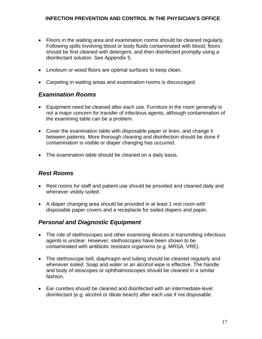- Floors in the waiting area and examination rooms should be cleaned regularly. Following spills involving blood or body fluids contaminated with blood, floors should be first cleaned with detergent, and then disinfected promptly using a disinfectant solution. See Appendix 5.
- Linoleum or wood floors are optimal surfaces to keep clean.
- Carpeting in waiting areas and examination rooms is discouraged.

#### *Examination Rooms*

- Equipment need be cleaned after each use. Furniture in the room generally is not a major concern for transfer of infectious agents, although contamination of the examining table can be a problem.
- Cover the examination table with disposable paper or linen, and change it between patients. More thorough cleaning and disinfection should be done if contamination is visible or diaper changing has occurred.
- The examination table should be cleaned on a daily basis.

### *Rest Rooms*

- Rest rooms for staff and patient use should be provided and cleaned daily and whenever visibly soiled.
- A diaper changing area should be provided in at least 1 rest room with disposable paper covers and a receptacle for soiled diapers and paper.

### *Personal and Diagnostic Equipment*

- The role of stethoscopes and other examining devices in transmitting infectious agents is unclear. However, stethoscopes have been shown to be contaminated with antibiotic resistant organisms (e.g. MRSA, VRE).
- The stethoscope bell, diaphragm and tubing should be cleaned regularly and whenever soiled. Soap and water or an alcohol wipe is effective. The handle and body of otoscopes or ophthalmoscopes should be cleaned in a similar fashion.
- Ear curettes should be cleaned and disinfected with an intermediate-level disinfectant (e.g. alcohol or dilute beach) after each use if not disposable.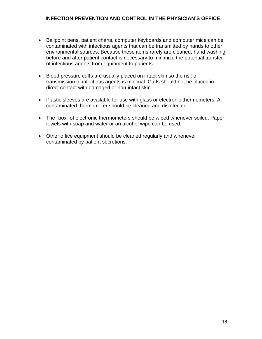- Ballpoint pens, patient charts, computer keyboards and computer mice can be contaminated with infectious agents that can be transmitted by hands to other environmental sources. Because these items rarely are cleaned, hand washing before and after patient contact is necessary to minimize the potential transfer of infectious agents from equipment to patients.
- Blood pressure cuffs are usually placed on intact skin so the risk of transmission of infectious agents is minimal. Cuffs should not be placed in direct contact with damaged or non-intact skin.
- Plastic sleeves are available for use with glass or electronic thermometers. A contaminated thermometer should be cleaned and disinfected.
- The "box" of electronic thermometers should be wiped whenever soiled. Paper towels with soap and water or an alcohol wipe can be used.
- Other office equipment should be cleaned regularly and whenever contaminated by patient secretions.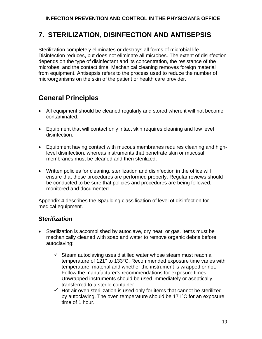# **7. STERILIZATION, DISINFECTION AND ANTISEPSIS**

Sterilization completely eliminates or destroys all forms of microbial life. Disinfection reduces, but does not eliminate all microbes. The extent of disinfection depends on the type of disinfectant and its concentration, the resistance of the microbes, and the contact time. Mechanical cleaning removes foreign material from equipment. Antisepsis refers to the process used to reduce the number of microorganisms on the skin of the patient or health care provider.

# **General Principles**

- All equipment should be cleaned regularly and stored where it will not become contaminated.
- Equipment that will contact only intact skin requires cleaning and low level disinfection.
- Equipment having contact with mucous membranes requires cleaning and highlevel disinfection, whereas instruments that penetrate skin or mucosal membranes must be cleaned and then sterilized.
- Written policies for cleaning, sterilization and disinfection in the office will ensure that these procedures are performed properly. Regular reviews should be conducted to be sure that policies and procedures are being followed, monitored and documented.

Appendix 4 describes the Spaulding classification of level of disinfection for medical equipment.

### *Sterilization*

- Sterilization is accomplished by autoclave, dry heat, or gas. Items must be mechanically cleaned with soap and water to remove organic debris before autoclaving:
	- $\checkmark$  Steam autoclaving uses distilled water whose steam must reach a temperature of 121° to 133°C. Recommended exposure time varies with temperature, material and whether the instrument is wrapped or not. Follow the manufacturer's recommendations for exposure times. Unwrapped instruments should be used immediately or aseptically transferred to a sterile container.
	- $\checkmark$  Hot air oven sterilization is used only for items that cannot be sterilized by autoclaving. The oven temperature should be 171°C for an exposure time of 1 hour.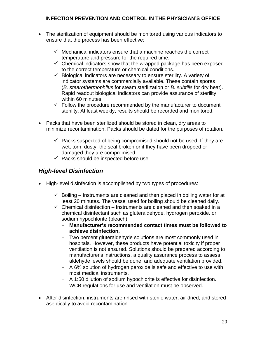- The sterilization of equipment should be monitored using various indicators to ensure that the process has been effective:
	- $\checkmark$  Mechanical indicators ensure that a machine reaches the correct temperature and pressure for the required time.
	- $\checkmark$  Chemical indicators show that the wrapped package has been exposed to the correct temperature or chemical conditions.
	- $\checkmark$  Biological indicators are necessary to ensure sterility. A variety of indicator systems are commercially available. These contain spores (*B. stearothermophilus* for steam sterilization or *B. subtilis* for dry heat). Rapid readout biological indicators can provide assurance of sterility within 60 minutes.
	- $\checkmark$  Follow the procedure recommended by the manufacturer to document sterility. At least weekly, results should be recorded and monitored.
- Packs that have been sterilized should be stored in clean, dry areas to minimize recontamination. Packs should be dated for the purposes of rotation.
	- $\checkmark$  Packs suspected of being compromised should not be used. If they are wet, torn, dusty, the seal broken or if they have been dropped or damaged they are compromised.
	- $\checkmark$  Packs should be inspected before use.

### *High-level Disinfection*

- High-level disinfection is accomplished by two types of procedures:
	- $\checkmark$  Boiling Instruments are cleaned and then placed in boiling water for at least 20 minutes. The vessel used for boiling should be cleaned daily.
	- $\checkmark$  Chemical disinfection Instruments are cleaned and then soaked in a chemical disinfectant such as gluteraldehyde, hydrogen peroxide, or sodium hypochlorite (bleach).
		- − **Manufacturer's recommended contact times must be followed to achieve disinfection.**
		- − Two percent gluteraldehyde solutions are most commonly used in hospitals. However, these products have potential toxicity if proper ventilation is not ensured. Solutions should be prepared according to manufacturer's instructions, a quality assurance process to assess aldehyde levels should be done, and adequate ventilation provided.
		- − A 6% solution of hydrogen peroxide is safe and effective to use with most medical instruments.
		- − A 1:50 dilution of sodium hypochlorite is effective for disinfection.
		- − WCB regulations for use and ventilation must be observed.
- After disinfection, instruments are rinsed with sterile water, air dried, and stored aseptically to avoid recontamination.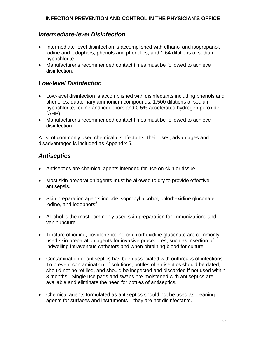#### *Intermediate-level Disinfection*

- Intermediate-level disinfection is accomplished with ethanol and isopropanol, iodine and iodophors, phenols and phenolics, and 1:64 dilutions of sodium hypochlorite.
- Manufacturer's recommended contact times must be followed to achieve disinfection.

### *Low-level Disinfection*

- Low-level disinfection is accomplished with disinfectants including phenols and phenolics, quaternary ammonium compounds, 1:500 dilutions of sodium hypochlorite, iodine and iodophors and 0.5% accelerated hydrogen peroxide (AHP).
- Manufacturer's recommended contact times must be followed to achieve disinfection.

A list of commonly used chemical disinfectants, their uses, advantages and disadvantages is included as Appendix 5.

### *Antiseptics*

- Antiseptics are chemical agents intended for use on skin or tissue.
- Most skin preparation agents must be allowed to dry to provide effective antisepsis.
- Skin preparation agents include isopropyl alcohol, chlorhexidine gluconate, iodine, and iodophors<sup>2</sup>.
- Alcohol is the most commonly used skin preparation for immunizations and venipuncture.
- Tincture of iodine, povidone iodine or chlorhexidine gluconate are commonly used skin preparation agents for invasive procedures, such as insertion of indwelling intravenous catheters and when obtaining blood for culture.
- Contamination of antiseptics has been associated with outbreaks of infections. To prevent contamination of solutions, bottles of antiseptics should be dated, should not be refilled, and should be inspected and discarded if not used within 3 months. Single use pads and swabs pre-moistened with antiseptics are available and eliminate the need for bottles of antiseptics.
- Chemical agents formulated as antiseptics should not be used as cleaning agents for surfaces and instruments – they are not disinfectants.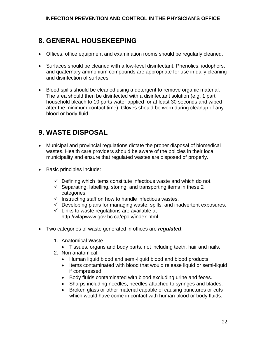# **8. GENERAL HOUSEKEEPING**

- Offices, office equipment and examination rooms should be regularly cleaned.
- Surfaces should be cleaned with a low-level disinfectant. Phenolics, iodophors, and quaternary ammonium compounds are appropriate for use in daily cleaning and disinfection of surfaces.
- Blood spills should be cleaned using a detergent to remove organic material. The area should then be disinfected with a disinfectant solution (e.g. 1 part household bleach to 10 parts water applied for at least 30 seconds and wiped after the minimum contact time). Gloves should be worn during cleanup of any blood or body fluid.

# **9. WASTE DISPOSAL**

- Municipal and provincial regulations dictate the proper disposal of biomedical wastes. Health care providers should be aware of the policies in their local municipality and ensure that regulated wastes are disposed of properly.
- Basic principles include:
	- $\checkmark$  Defining which items constitute infectious waste and which do not.
	- $\checkmark$  Separating, labelling, storing, and transporting items in these 2 categories.
	- $\checkmark$  Instructing staff on how to handle infectious wastes.
	- $\checkmark$  Developing plans for managing waste, spills, and inadvertent exposures.
	- $\checkmark$  Links to waste regulations are available at <http://wlapwww.gov.bc.ca/epdiv/index.html>
- Two categories of waste generated in offices are *regulated*:
	- 1. Anatomical Waste
		- Tissues, organs and body parts, not including teeth, hair and nails.
	- 2. Non anatomical:
		- Human liquid blood and semi-liquid blood and blood products.
		- Items contaminated with blood that would release liquid or semi-liquid if compressed.
		- Body fluids contaminated with blood excluding urine and feces.
		- Sharps including needles, needles attached to syringes and blades.
		- Broken glass or other material capable of causing punctures or cuts which would have come in contact with human blood or body fluids.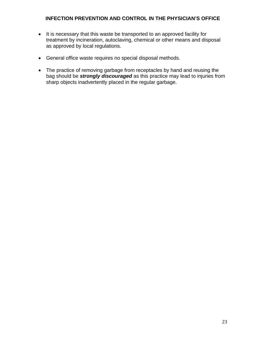- It is necessary that this waste be transported to an approved facility for treatment by incineration, autoclaving, chemical or other means and disposal as approved by local regulations.
- General office waste requires no special disposal methods.
- The practice of removing garbage from receptacles by hand and reusing the bag should be *strongly discouraged* as this practice may lead to injuries from sharp objects inadvertently placed in the regular garbage.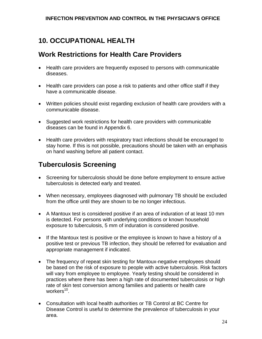# **10. OCCUPATIONAL HEALTH**

# **Work Restrictions for Health Care Providers**

- Health care providers are frequently exposed to persons with communicable diseases.
- Health care providers can pose a risk to patients and other office staff if they have a communicable disease.
- Written policies should exist regarding exclusion of health care providers with a communicable disease.
- Suggested work restrictions for health care providers with communicable diseases can be found in Appendix 6.
- Health care providers with respiratory tract infections should be encouraged to stay home. If this is not possible, precautions should be taken with an emphasis on hand washing before all patient contact.

# **Tuberculosis Screening**

- Screening for tuberculosis should be done before employment to ensure active tuberculosis is detected early and treated.
- When necessary, employees diagnosed with pulmonary TB should be excluded from the office until they are shown to be no longer infectious.
- A Mantoux test is considered positive if an area of induration of at least 10 mm is detected. For persons with underlying conditions or known household exposure to tuberculosis, 5 mm of induration is considered positive.
- If the Mantoux test is positive or the employee is known to have a history of a positive test or previous TB infection, they should be referred for evaluation and appropriate management if indicated.
- The frequency of repeat skin testing for Mantoux-negative employees should be based on the risk of exposure to people with active tuberculosis. Risk factors will vary from employee to employee. Yearly testing should be considered in practices where there has been a high rate of documented tuberculosis or high rate of skin test conversion among families and patients or health care workers $10$ .
- Consultation with local health authorities or TB Control at BC Centre for Disease Control is useful to determine the prevalence of tuberculosis in your area.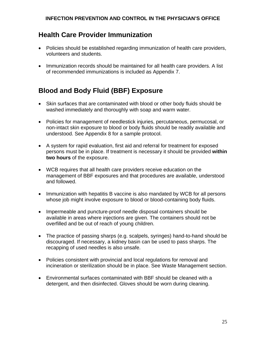# **Health Care Provider Immunization**

- Policies should be established regarding immunization of health care providers, volunteers and students.
- Immunization records should be maintained for all health care providers. A list of recommended immunizations is included as Appendix 7.

# **Blood and Body Fluid (BBF) Exposure**

- Skin surfaces that are contaminated with blood or other body fluids should be washed immediately and thoroughly with soap and warm water.
- Policies for management of needlestick injuries, percutaneous, permucosal, or non-intact skin exposure to blood or body fluids should be readily available and understood. See Appendix 8 for a sample protocol.
- A system for rapid evaluation, first aid and referral for treatment for exposed persons must be in place. If treatment is necessary it should be provided **within two hours** of the exposure.
- WCB requires that all health care providers receive education on the management of BBF exposures and that procedures are available, understood and followed.
- Immunization with hepatitis B vaccine is also mandated by WCB for all persons whose job might involve exposure to blood or blood-containing body fluids.
- Impermeable and puncture-proof needle disposal containers should be available in areas where injections are given. The containers should not be overfilled and be out of reach of young children.
- The practice of passing sharps (e.g. scalpels, syringes) hand-to-hand should be discouraged. If necessary, a kidney basin can be used to pass sharps. The recapping of used needles is also unsafe.
- Policies consistent with provincial and local regulations for removal and incineration or sterilization should be in place. See Waste Management section.
- Environmental surfaces contaminated with BBF should be cleaned with a detergent, and then disinfected. Gloves should be worn during cleaning.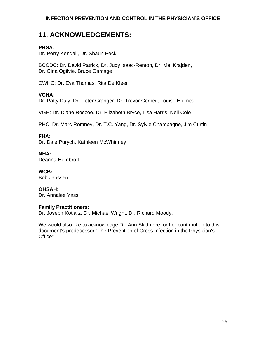## **11. ACKNOWLEDGEMENTS:**

#### **PHSA:**

Dr. Perry Kendall, Dr. Shaun Peck

BCCDC: Dr. David Patrick, Dr. Judy Isaac-Renton, Dr. Mel Krajden, Dr. Gina Ogilvie, Bruce Gamage

CWHC: Dr. Eva Thomas, Rita De Kleer

#### **VCHA:**

Dr. Patty Daly, Dr. Peter Granger, Dr. Trevor Corneil, Louise Holmes

VGH: Dr. Diane Roscoe, Dr. Elizabeth Bryce, Lisa Harris, Neil Cole

PHC: Dr. Marc Romney, Dr. T.C. Yang, Dr. Sylvie Champagne, Jim Curtin

#### **FHA:**

Dr. Dale Purych, Kathleen McWhinney

**NHA:** Deanna Hembroff

**WCB:** Bob Janssen

**OHSAH:** Dr. Annalee Yassi

#### **Family Practitioners:**

Dr. Joseph Kotlarz, Dr. Michael Wright, Dr. Richard Moody.

We would also like to acknowledge Dr. Ann Skidmore for her contribution to this document's predecessor "The Prevention of Cross Infection in the Physician's Office".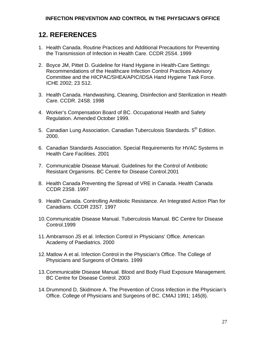# **12. REFERENCES**

- 1. Health Canada. Routine Practices and Additional Precautions for Preventing the Transmission of Infection in Health Care. CCDR 25S4. 1999
- 2. Boyce JM, Pittet D. Guideline for Hand Hygiene in Health-Care Settings: Recommendations of the Healthcare Infection Control Practices Advisory Committee and the HICPAC/SHEA/APIC/IDSA Hand Hygiene Task Force. ICHE 2002; 23 S12.
- 3. Health Canada. Handwashing, Cleaning, Disinfection and Sterilization in Health Care. CCDR. 24S8. 1998
- 4. Worker's Compensation Board of BC. Occupational Health and Safety Regulation. Amended October 1999.
- 5. Canadian Lung Association. Canadian Tuberculosis Standards. 5<sup>th</sup> Edition. 2000.
- 6. Canadian Standards Association. Special Requirements for HVAC Systems in Health Care Facilities. 2001
- 7. Communicable Disease Manual. Guidelines for the Control of Antibiotic Resistant Organisms. BC Centre for Disease Control.2001
- 8. Health Canada Preventing the Spread of VRE in Canada. Health Canada CCDR 23S8. 1997
- 9. Health Canada. Controlling Antibiotic Resistance. An Integrated Action Plan for Canadians. CCDR 23S7. 1997
- 10. Communicable Disease Manual. Tuberculosis Manual. BC Centre for Disease Control.1999
- 11. Ambramson JS et al. Infection Control in Physicians' Office. American Academy of Paediatrics. 2000
- 12. Matlow A et al. Infection Control in the Physician's Office. The College of Physicians and Surgeons of Ontario. 1999
- 13. Communicable Disease Manual. Blood and Body Fluid Exposure Management. BC Centre for Disease Control. 2003
- 14. Drummond D, Skidmore A. The Prevention of Cross Infection in the Physician's Office. College of Physicians and Surgeons of BC. CMAJ 1991; 145(8).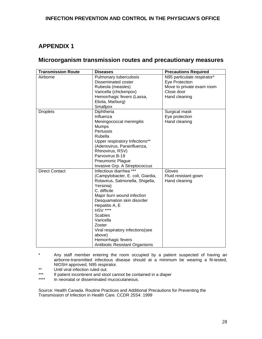### **APPENDIX 1**

### **Microorganism transmission routes and precautionary measures**

| <b>Transmission Route</b> | <b>Diseases</b>                   | <b>Precautions Required</b> |
|---------------------------|-----------------------------------|-----------------------------|
| Airborne                  | Pulmonary tuberculosis            | N95 particulate respirator* |
|                           | Disseminated zoster               | Eye Protection              |
|                           | Rubeola (measles)                 | Move to private exam room   |
|                           | Varicella (chickenpox)            | Close door                  |
|                           | Hemorrhagic fevers (Lassa,        | Hand cleaning               |
|                           | Ebola, Marburg)                   |                             |
|                           | Smallpox                          |                             |
| <b>Droplets</b>           | Diphtheria                        | Surgical mask               |
|                           | Influenza                         | Eye protection              |
|                           | Meningococcal meningitis          | Hand cleaning               |
|                           | <b>Mumps</b>                      |                             |
|                           | Pertussis                         |                             |
|                           | Rubella                           |                             |
|                           | Upper respiratory Infections**    |                             |
|                           | (Adenovirus, Parainfluenza,       |                             |
|                           | Rhinovirus, RSV)                  |                             |
|                           | Parvovirus B-19                   |                             |
|                           | <b>Pneumonic Plague</b>           |                             |
|                           | Invasive Grp. A Streptococcus     |                             |
| <b>Direct Contact</b>     | Infectious diarrhea ***           | Gloves                      |
|                           | (Campylobacter, E. coli, Giardia, | Fluid resistant gown        |
|                           | Rotavirus, Salmonella, Shigella,  | Hand cleaning               |
|                           | Yersinia)                         |                             |
|                           | C. difficile                      |                             |
|                           | Major burn wound infection        |                             |
|                           | Desquamation skin disorder        |                             |
|                           | Hepatitis A, E                    |                             |
|                           | <b>HSV ****</b>                   |                             |
|                           | <b>Scabies</b>                    |                             |
|                           | Varicella                         |                             |
|                           | Zoster                            |                             |
|                           | Viral respiratory infections(see  |                             |
|                           | above)                            |                             |
|                           | Hemorrhagic fevers                |                             |
|                           | Antibiotic Resistant Organisms    |                             |

\* Any staff member entering the room occupied by a patient suspected of having an airborne-transmitted infectious disease should at a minimum be wearing a fit-tested, NIOSH approved, N95 respirator.

- \*\* Until viral infection ruled out.<br>\*\*\* If patient incontinent and stoc
- \*\*\* If patient incontinent and stool cannot be contained in a diaper
- In neonatal or disseminated mucocutaneous.

Source: Health Canada. Routine Practices and Additional Precautions for Preventing the Transmission of Infection in Health Care. CCDR 25S4. 1999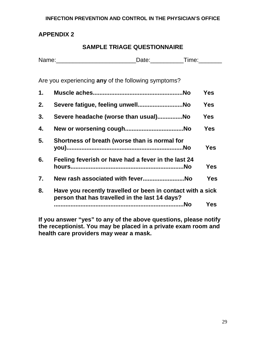### **APPENDIX 2**

### **SAMPLE TRIAGE QUESTIONNAIRE**

| Na<br>mnn.<br>. | 1000 |
|-----------------|------|
|                 |      |

Are you experiencing **any** of the following symptoms?

| 1. |                                                                                                              | <b>Yes</b> |
|----|--------------------------------------------------------------------------------------------------------------|------------|
| 2. |                                                                                                              | <b>Yes</b> |
| 3. | Severe headache (worse than usual)No                                                                         | Yes        |
| 4. |                                                                                                              | <b>Yes</b> |
| 5. | Shortness of breath (worse than is normal for                                                                | <b>Yes</b> |
| 6. | Feeling feverish or have had a fever in the last 24                                                          | Yes        |
| 7. | New rash associated with feverNo                                                                             | <b>Yes</b> |
| 8. | Have you recently travelled or been in contact with a sick<br>person that has travelled in the last 14 days? |            |
|    | No.                                                                                                          | <b>Yes</b> |

**If you answer "yes" to any of the above questions, please notify the receptionist. You may be placed in a private exam room and health care providers may wear a mask.**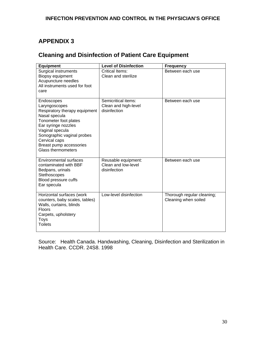### **APPENDIX 3**

### **Cleaning and Disinfection of Patient Care Equipment**

| <b>Equipment</b>                                                                                                                                                                                                                                        | <b>Level of Disinfection</b>                                | <b>Frequency</b>                                   |
|---------------------------------------------------------------------------------------------------------------------------------------------------------------------------------------------------------------------------------------------------------|-------------------------------------------------------------|----------------------------------------------------|
| Surgical instruments<br>Biopsy equipment<br>Acupuncture needles<br>All instruments used for foot<br>care                                                                                                                                                | Critical Items:<br>Clean and sterilize                      | Between each use                                   |
| Endoscopes<br>Laryngoscopes<br>Respiratory therapy equipment<br>Nasal specula<br>Tonometer foot plates<br>Ear syringe nozzles<br>Vaginal specula<br>Sonographic vaginal probes<br>Cervical caps<br>Breast pump accessories<br><b>Glass thermometers</b> | Semicritical items:<br>Clean and high-level<br>disinfection | Between each use                                   |
| <b>Environmental surfaces</b><br>contaminated with BBF<br>Bedpans, urinals<br>Stethoscopes<br>Blood pressure cuffs<br>Ear specula                                                                                                                       | Reusable equipment:<br>Clean and low-level<br>disinfection  | Between each use                                   |
| Horizontal surfaces (work<br>counters, baby scales, tables)<br>Walls, curtains, blinds<br><b>Floors</b><br>Carpets, upholstery<br><b>Toys</b><br><b>Toilets</b>                                                                                         | Low-level disinfection                                      | Thorough regular cleaning;<br>Cleaning when soiled |

Source: Health Canada. Handwashing, Cleaning, Disinfection and Sterilization in Health Care. CCDR. 24S8. 1998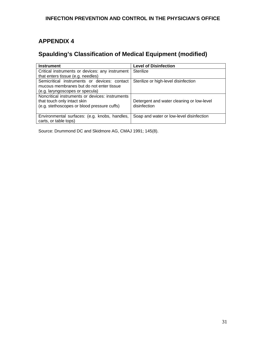### **APPENDIX 4**

### **Spaulding's Classification of Medical Equipment (modified)**

| <b>Instrument</b>                               | <b>Level of Disinfection</b>              |
|-------------------------------------------------|-------------------------------------------|
| Critical instruments or devices: any instrument | Sterilize                                 |
| that enters tissue (e.g. needles)               |                                           |
| Semicritical instruments or devices: contact    | Sterilize or high-level disinfection      |
| mucous membranes but do not enter tissue        |                                           |
| (e.g. laryngoscopes or specula)                 |                                           |
| Noncritical instruments or devices: instruments |                                           |
| that touch only intact skin                     | Detergent and water cleaning or low-level |
| (e.g. stethoscopes or blood pressure cuffs)     | disinfection                              |
|                                                 |                                           |
| Environmental surfaces: (e.g. knobs, handles,   | Soap and water or low-level disinfection  |
| carts, or table tops)                           |                                           |

Source: Drummond DC and Skidmore AG, CMAJ 1991; 145(8).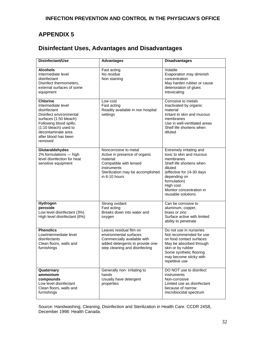### **APPENDIX 5**

### **Disinfectant Uses, Advantages and Disadvantages**

| Disinfectant/Use                                                                                                                                                                                                        | <b>Advantages</b>                                                                                                                                                 | <b>Disadvantages</b>                                                                                                                                                                                                                 |
|-------------------------------------------------------------------------------------------------------------------------------------------------------------------------------------------------------------------------|-------------------------------------------------------------------------------------------------------------------------------------------------------------------|--------------------------------------------------------------------------------------------------------------------------------------------------------------------------------------------------------------------------------------|
| <b>Alcohols</b><br>Intermediate level<br>disinfectant<br>Disinfect thermometers,<br>external surfaces of some<br>equipment                                                                                              | Fast acting<br>No residue<br>Non staining                                                                                                                         | Volatile<br>Evaporation may diminish<br>concentration<br>May harden rubber or cause<br>deterioration of glues<br>Intoxicating                                                                                                        |
| <b>Chlorine</b><br>Intermediate level<br>disinfectant<br>Disinfect environmental<br>surfaces (1:50 bleach)<br>Following blood spills;<br>(1:10 bleach) used to<br>decontaminate area<br>after blood has been<br>removed | Low cost<br>Fast acting<br>Readily available in non hospital<br>settings                                                                                          | Corrosive to metals<br>Inactivated by organic<br>material<br>Irritant to skin and mucous<br>membranes<br>Use in well-ventilated areas<br>Shelf life shortens when<br>diluted                                                         |
| Glutaraldehydes<br>2% formulations - high<br>level disinfection for heat<br>sensitive equipment                                                                                                                         | Noncorrosive to metal<br>Active in presence of organic<br>material<br>Compatible with lensed<br>instruments<br>Sterilization may be accomplished<br>in 6-10 hours | Extremely irritating and<br>toxic to skin and mucous<br>membranes<br>Shelf life shortens when<br>diluted<br>(effective for 14-30 days<br>depending on<br>formulation)<br>High cost<br>Monitor concentration in<br>reusable solutions |
| Hydrogen<br>peroxide<br>Low level disinfectant (3%)<br>High level disinfectant (6%)                                                                                                                                     | Strong oxidant<br>Fast acting<br>Breaks down into water and<br>oxygen                                                                                             | Can be corrosive to<br>aluminum, copper,<br>brass or zinc<br>Surface active with limited<br>ability to penetrate                                                                                                                     |
| <b>Phenolics</b><br>Low/intermediate level<br>disinfectants<br>Clean floors, walls and<br>furnishings                                                                                                                   | Leaves residual film on<br>environmental surfaces<br>Commercially available with<br>added detergents to provide one-<br>step cleaning and disinfecting            | Do not use in nurseries<br>Not recommended for use<br>on food contact surfaces<br>May be absorbed through<br>skin or by rubber<br>Some synthetic flooring<br>may become sticky with<br>repetitive use                                |
| Quaternary<br>ammonium<br>compounds<br>Low level disinfectant<br>Clean floors, walls and<br>furnishings                                                                                                                 | Generally non- irritating to<br>hands<br>Usually have detergent<br>properties                                                                                     | DO NOT use to disinfect<br>instruments<br>Non-corrosive<br>Limited use as disinfectant<br>because of narrow<br>microbiocidal spectrum                                                                                                |

Source: Handwashing, Cleaning, Disinfection and Sterilization in Health Care. CCDR 24S8, December 1998: Health Canada.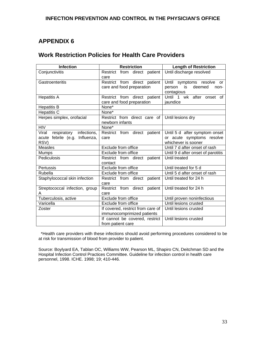### **APPENDIX 6**

### **Work Restriction Policies for Health Care Providers**

| <b>Infection</b>                    | <b>Restriction</b>                | <b>Length of Restriction</b>       |
|-------------------------------------|-----------------------------------|------------------------------------|
| Conjunctivitis                      | Restrict from direct patient      | Until discharge resolved           |
|                                     | care                              |                                    |
| Gastroenteritis                     | Restrict from direct patient      | Until symptoms resolve or          |
|                                     | care and food preparation         | person is<br>deemed<br>non-        |
|                                     |                                   | contagious                         |
| <b>Hepatitis A</b>                  | Restrict from direct patient      | Until 1 wk after onset of          |
|                                     | care and food preparation         | jaundice                           |
| <b>Hepatitis B</b>                  | None*                             |                                    |
| <b>Hepatitis C</b>                  | None*                             |                                    |
| Herpes simplex, orofacial           | Restrict from direct care of      | Until lesions dry                  |
|                                     | newborn infants                   |                                    |
| <b>HIV</b>                          | None*                             |                                    |
| respiratory<br>Viral<br>infections, | Restrict from direct patient      | Until 5 d after symptom onset      |
| acute febrile (e.g.<br>Influenza,   | care                              | or acute symptoms resolve          |
| RSV)                                |                                   | whichever is sooner                |
| <b>Measles</b>                      | Exclude from office               | Until 7 d after onset of rash      |
| Mumps                               | Exclude from office               | Until 9 d after onset of parotitis |
| Pediculosis                         | Restrict from direct patient      | Until treated                      |
|                                     | contact                           |                                    |
| Pertussis                           | Exclude from office               | Until treated for 5 d              |
| Rubella                             | Exclude from office               | Until 5 d after onset of rash      |
| Staphylococcal skin infection       | Restrict from direct patient      | Until treated for 24 h             |
|                                     | care                              |                                    |
| Streptococcal infection, group      | Restrict from direct patient      | Until treated for 24 h             |
| A                                   | care                              |                                    |
| Tuberculosis, active                | Exclude from office               | Until proven noninfectious         |
| Varicella                           | Exclude from office               | Until lesions crusted              |
| Zoster                              | If covered, restrict from care of |                                    |
|                                     | immunocomprimized patients        |                                    |
|                                     | If cannot be covered, restrict    | Until lesions crusted              |
|                                     | from patient care                 |                                    |

 \*Health care providers with these infections should avoid performing procedures considered to be at risk for transmission of blood from provider to patient.

Source: Boylyard EA, Tablan OC, Williams WW, Pearson ML, Shapiro CN, Deitchman SD and the Hospital Infection Control Practices Committee. Guideline for infection control in health care personnel, 1998. ICHE. 1998; 19; 410-446.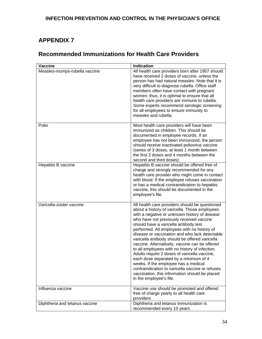## **APPENDIX 7**

### **Recommended Immunizations for Health Care Providers**

| <b>Vaccine</b>                 | <b>Indication</b>                                                                                                                                                                                                                                                                                                                                                                                                                                                                                                                                                                                                                                                                                                                                             |
|--------------------------------|---------------------------------------------------------------------------------------------------------------------------------------------------------------------------------------------------------------------------------------------------------------------------------------------------------------------------------------------------------------------------------------------------------------------------------------------------------------------------------------------------------------------------------------------------------------------------------------------------------------------------------------------------------------------------------------------------------------------------------------------------------------|
| Measles-mumps-rubella vaccine  | All health care providers born after 1957 should<br>have received 2 doses of vaccine, unless the<br>person has had natural measles. Note that it is<br>very difficult to diagnose rubella. Office staff<br>members often have contact with pregnant<br>women; thus, it is optimal to ensure that all<br>health care providers are immune to rubella.<br>Some experts recommend serologic screening<br>for all employees to ensure immunity to<br>measles and rubella.                                                                                                                                                                                                                                                                                         |
| Polio                          | Most health care providers will have been<br>immunized as children. This should be<br>documented in employee records. If an<br>employee has not been immunized, the person<br>should receive inactivated poliovirus vaccine<br>(series of 3 doses, at least 1 month between<br>the first 2 doses and 4 months between the<br>second and third doses).                                                                                                                                                                                                                                                                                                                                                                                                         |
| Hepatitis B vaccine            | Hepatitis B vaccine should be offered free of<br>charge and strongly recommended for any<br>health care provider who might come in contact<br>with blood. If the employee refuses vaccination<br>or has a medical contraindication to hepatitis<br>vaccine, this should be documented in the<br>employee's file.                                                                                                                                                                                                                                                                                                                                                                                                                                              |
| Varicella-zoster vaccine       | All health care providers should be questioned<br>about a history of varicella. Those employees<br>with a negative or unknown history of disease<br>who have not previously received vaccine<br>should have a varicella antibody test<br>performed. All employees with no history of<br>disease or vaccination and who lack detectable<br>varicella antibody should be offered varicella<br>vaccine. Alternatively, vaccine can be offered<br>to all employees with no history of infection.<br>Adults require 2 doses of varicella vaccine<br>each dose separated by a minimum of 4<br>weeks. If the employee has a medical<br>contraindication to varicella vaccine or refuses<br>vaccination, this information should be placed<br>in the employee's file. |
| Influenza vaccine              | Vaccine use should be promoted and offered<br>free of charge yearly to all health care<br>providers                                                                                                                                                                                                                                                                                                                                                                                                                                                                                                                                                                                                                                                           |
| Diphtheria and tetanus vaccine | Diphtheria and tetanus immunization is<br>recommended every 10 years                                                                                                                                                                                                                                                                                                                                                                                                                                                                                                                                                                                                                                                                                          |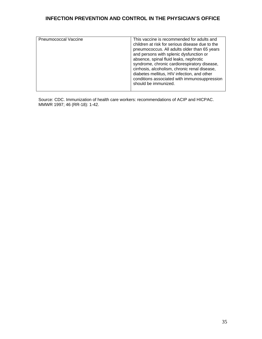| Pneumococcal Vaccine | This vaccine is recommended for adults and<br>children at risk for serious disease due to the<br>pneumococcus. All adults older than 65 years<br>and persons with splenic dysfunction or<br>absence, spinal fluid leaks, nephrotic<br>syndrome, chronic cardiorespiratory disease,<br>cirrhosis, alcoholism, chronic renal disease,<br>diabetes mellitus, HIV infection, and other<br>conditions associated with immunosuppression<br>should be immunized. |
|----------------------|------------------------------------------------------------------------------------------------------------------------------------------------------------------------------------------------------------------------------------------------------------------------------------------------------------------------------------------------------------------------------------------------------------------------------------------------------------|

Source: CDC. Immunization of health care workers: recommendations of ACIP and HICPAC. MMWR 1997; 46 (RR-18): 1-42.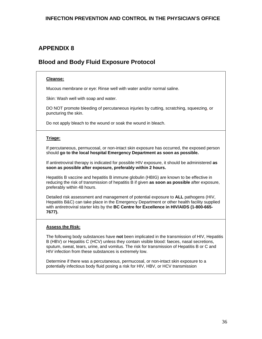### **APPENDIX 8**

### **Blood and Body Fluid Exposure Protocol**

#### **Cleanse:**

Mucous membrane or eye: Rinse well with water and/or normal saline.

Skin: Wash well with soap and water.

DO NOT promote bleeding of percutaneous injuries by cutting, scratching, squeezing, or puncturing the skin.

Do not apply bleach to the wound or soak the wound in bleach.

#### **Triage:**

If percutaneous, permucosal, or non-intact skin exposure has occurred, the exposed person should **go to the local hospital Emergency Department as soon as possible.** 

If antiretroviral therapy is indicated for possible HIV exposure, it should be administered **as soon as possible after exposure, preferably within 2 hours.**

Hepatitis B vaccine and hepatitis B immune globulin (HBIG) are known to be effective in reducing the risk of transmission of hepatitis B if given **as soon as possible** after exposure, preferably within 48 hours.

Detailed risk assessment and management of potential exposure to **ALL** pathogens (HIV, Hepatitis B&C) can take place in the Emergency Department or other health facility supplied with antiretroviral starter kits by the **BC Centre for Excellence in HIV/AIDS (1-800-665- 7677).** 

#### **Assess the Risk:**

The following body substances have **not** been implicated in the transmission of HIV, Hepatitis B (HBV) or Hepatitis C (HCV) unless they contain visible blood: faeces, nasal secretions, sputum, sweat, tears, urine, and vomitus. The risk for transmission of Hepatitis B or C and HIV infection from these substances is extremely low.

Determine if there was a percutaneous, permucosal, or non-intact skin exposure to a potentially infectious body fluid posing a risk for HIV, HBV, or HCV transmission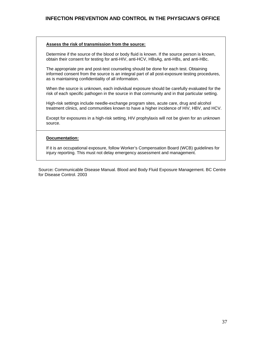#### **Assess the risk of transmission from the source:**

Determine if the source of the blood or body fluid is known. If the source person is known, obtain their consent for testing for anti-HIV, anti-HCV, HBsAg, anti-HBs, and anti-HBc.

The appropriate pre and post-test counseling should be done for each test. Obtaining informed consent from the source is an integral part of all post-exposure testing procedures, as is maintaining confidentiality of all information.

When the source is unknown, each individual exposure should be carefully evaluated for the risk of each specific pathogen in the source in that community and in that particular setting.

High-risk settings include needle-exchange program sites, acute care, drug and alcohol treatment clinics, and communities known to have a higher incidence of HIV, HBV, and HCV.

Except for exposures in a high-risk setting, HIV prophylaxis will not be given for an unknown source.

#### **Documentation:**

If it is an occupational exposure, follow Worker's Compensation Board (WCB) guidelines for injury reporting. This must not delay emergency assessment and management.

Source**:** Communicable Disease Manual. Blood and Body Fluid Exposure Management. BC Centre for Disease Control. 2003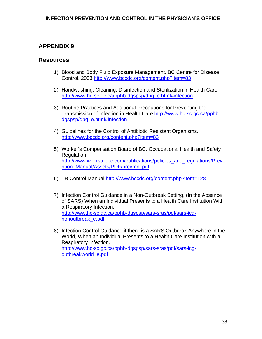### **APPENDIX 9**

#### **Resources**

- 1) Blood and Body Fluid Exposure Management. BC Centre for Disease Control. 2003<http://www.bccdc.org/content.php?item=83>
- 2) Handwashing, Cleaning, Disinfection and Sterilization in Health Care http://www.hc-sc.gc.ca/pphb-dgspsp/dpg\_e.html#infection
- 3) Routine Practices and Additional Precautions for Preventing the Transmission of Infection in Health Care http://www.hc-sc.gc.ca/pphbdgspsp/dpg\_e.html#infection
- 4) Guidelines for the Control of Antibiotic Resistant Organisms. <http://www.bccdc.org/content.php?item=83>
- 5) Worker's Compensation Board of BC. Occupational Health and Safety Regulation http://www.worksafebc.com/publications/policies\_and\_regulations/Preve ntion\_Manual/Assets/PDF/prevmnl.pdf
- 6) TB Control Manual http://www.bccdc.org/content.php?item=128
- 7) Infection Control Guidance in a Non-Outbreak Setting, (In the Absence of SARS) When an Individual Presents to a Health Care Institution With a Respiratory Infection. [http://www.hc-sc.gc.ca/pphb-dgspsp/sars-sras/pdf/sars-icg](http://www.hc-sc.gc.ca/pphb-dgspsp/sars-sras/pdf/sars-icg-nonoutbreak_e.pdf)[nonoutbreak\\_e.pdf](http://www.hc-sc.gc.ca/pphb-dgspsp/sars-sras/pdf/sars-icg-nonoutbreak_e.pdf)
- 8) Infection Control Guidance if there is a SARS Outbreak Anywhere in the World, When an Individual Presents to a Health Care Institution with a Respiratory Infection. [http://www.hc-sc.gc.ca/pphb-dgspsp/sars-sras/pdf/sars-icg](http://www.hc-sc.gc.ca/pphb-dgspsp/sars-sras/pdf/sars-icg-outbreakworld_e.pdf)[outbreakworld\\_e.pdf](http://www.hc-sc.gc.ca/pphb-dgspsp/sars-sras/pdf/sars-icg-outbreakworld_e.pdf)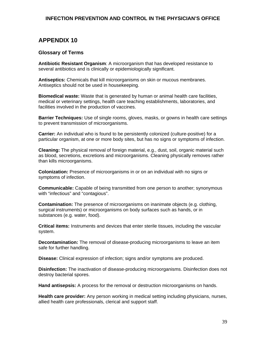### **APPENDIX 10**

#### **Glossary of Terms**

**Antibiotic Resistant Organism**: A microorganism that has developed resistance to several antibiotics and is clinically or epidemiologically significant.

**Antiseptics:** Chemicals that kill microorganisms on skin or mucous membranes. Antiseptics should not be used in housekeeping.

**Biomedical waste:** Waste that is generated by human or animal health care facilities, medical or veterinary settings, health care teaching establishments, laboratories, and facilities involved in the production of vaccines.

**Barrier Techniques:** Use of single rooms, gloves, masks, or gowns in health care settings to prevent transmission of microorganisms.

**Carrier:** An individual who is found to be persistently colonized (culture-positive) for a particular organism, at one or more body sites, but has no signs or symptoms of infection.

**Cleaning:** The physical removal of foreign material, e.g., dust, soil, organic material such as blood, secretions, excretions and microorganisms. Cleaning physically removes rather than kills microorganisms.

**Colonization:** Presence of microorganisms in or on an individual with no signs or symptoms of infection.

**Communicable:** Capable of being transmitted from one person to another; synonymous with "infectious" and "contagious".

**Contamination:** The presence of microorganisms on inanimate objects (e.g. clothing, surgical instruments) or microorganisms on body surfaces such as hands, or in substances (e.g. water, food).

**Critical items:** Instruments and devices that enter sterile tissues, including the vascular system.

**Decontamination:** The removal of disease-producing microorganisms to leave an item safe for further handling.

**Disease:** Clinical expression of infection; signs and/or symptoms are produced.

**Disinfection:** The inactivation of disease-producing microorganisms. Disinfection does not destroy bacterial spores.

**Hand antisepsis:** A process for the removal or destruction microorganisms on hands.

**Health care provider:** Any person working in medical setting including physicians, nurses, allied health care professionals, clerical and support staff.